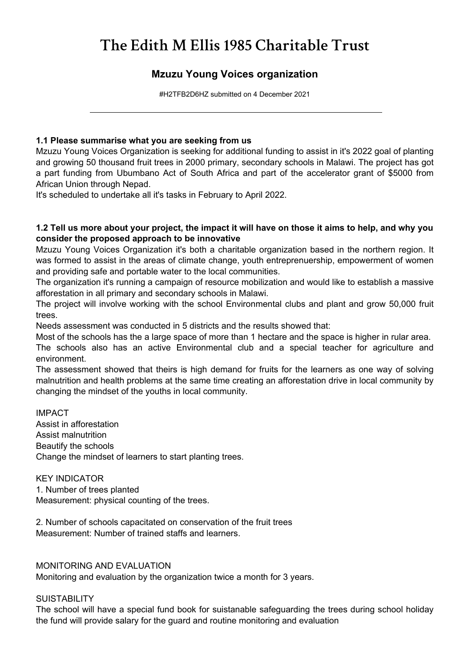# *The Edith M Ellis 1985 Charitable Trust*

### *Mzuzu Young Voices organization*

*#H2TFB2D6HZ submitted on 4 December 2021*

#### *1.1 Please summarise what you are seeking from us*

*Mzuzu Young Voices Organization is seeking for additional funding to assist in it's 2022 goal of planting and growing 50 thousand fruit trees in 2000 primary, secondary schools in Malawi. The project has got a part funding from Ubumbano Act of South Africa and part of the accelerator grant of \$5000 from African Union through Nepad.*

*It's scheduled to undertake all it's tasks in February to April 2022.*

#### *1.2 Tell us more about your project, the impact it will have on those it aims to help, and why you consider the proposed approach to be innovative*

*Mzuzu Young Voices Organization it's both a charitable organization based in the northern region. It was formed to assist in the areas of climate change, youth entreprenuership, empowerment of women and providing safe and portable water to the local communities.*

*The organization it's running a campaign of resource mobilization and would like to establish a massive afforestation in all primary and secondary schools in Malawi.*

*The project will involve working with the school Environmental clubs and plant and grow 50,000 fruit trees.*

*Needs assessment was conducted in 5 districts and the results showed that:*

*Most of the schools has the a large space of more than 1 hectare and the space is higher in rular area.*

*The schools also has an active Environmental club and a special teacher for agriculture and environment.*

*The assessment showed that theirs is high demand for fruits for the learners as one way of solving malnutrition and health problems at the same time creating an afforestation drive in local community by changing the mindset of the youths in local community.*

*IMPACT Assist in afforestation Assist malnutrition Beautify the schools Change the mindset of learners to start planting trees.*

*KEY INDICATOR*

*1. Number of trees planted Measurement: physical counting of the trees.*

*2. Number of schools capacitated on conservation of the fruit trees Measurement: Number of trained staffs and learners.*

#### *MONITORING AND EVALUATION*

*Monitoring and evaluation by the organization twice a month for 3 years.*

#### *SUISTABILITY*

*The school will have a special fund book for suistanable safeguarding the trees during school holiday the fund will provide salary for the guard and routine monitoring and evaluation*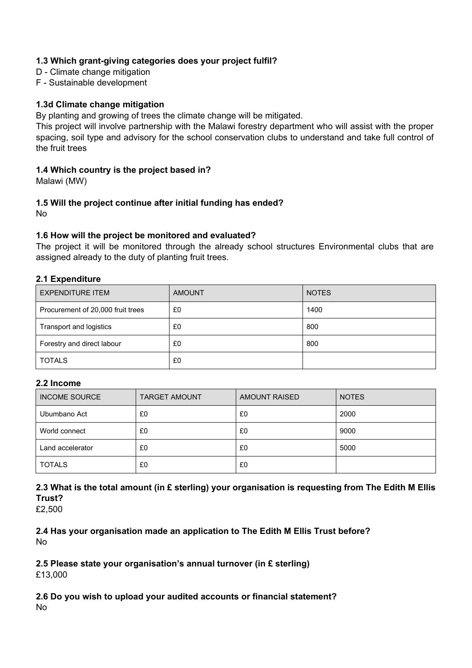#### *1.3 Which grant-giving categories does your project fulfil?*

- *D Climate change mitigation*
- *F Sustainable development*

#### *1.3d Climate change mitigation*

*By planting and growing of trees the climate change will be mitigated.*

*This project will involve partnership with the Malawi forestry department who will assist with the proper spacing, soil type and advisory for the school conservation clubs to understand and take full control of the fruit trees*

#### *1.4 Which country is the project based in?*

*Malawi (MW)*

## *1.5 Will the project continue after initial funding has ended?*

*No*

#### *1.6 How will the project be monitored and evaluated?*

*The project it will be monitored through the already school structures Environmental clubs that are assigned already to the duty of planting fruit trees.*

#### *2.1 Expenditure*

| EXPENDITURE ITEM                  | <b>AMOUNT</b> | <b>NOTES</b> |
|-----------------------------------|---------------|--------------|
| Procurement of 20,000 fruit trees | £0            | 1400         |
| Transport and logistics           | £0            | 800          |
| Forestry and direct labour        | £0            | 800          |
| <b>TOTALS</b>                     | £0            |              |

#### *2.2 Income*

| <b>INCOME SOURCE</b> | <b>TARGET AMOUNT</b> | <b>AMOUNT RAISED</b> | <b>NOTES</b> |
|----------------------|----------------------|----------------------|--------------|
| Ubumbano Act         | £0                   | £0                   | 2000         |
| World connect        | £0                   | £0                   | 9000         |
| Land accelerator     | £0                   | £0                   | 5000         |
| <b>TOTALS</b>        | £0                   | £0                   |              |

*2.3 What is the total amount (in £ sterling) your organisation is requesting from The Edith M Ellis Trust?*

*£2,500*

*2.4 Has your organisation made an application to The Edith M Ellis Trust before? No*

*2.5 Please state your organisation's annual turnover (in £ sterling) £13,000*

*2.6 Do you wish to upload your audited accounts or financial statement? No*